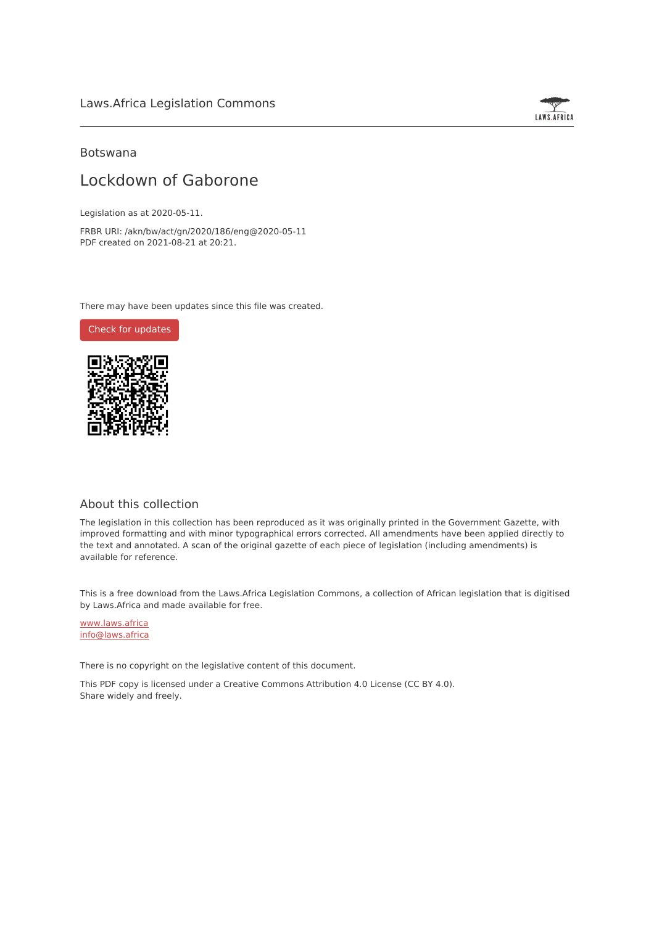

### Botswana

## Lockdown of Gaborone

Legislation as at 2020-05-11.

FRBR URI: /akn/bw/act/gn/2020/186/eng@2020-05-11 PDF created on 2021-08-21 at 20:21.

There may have been updates since this file was created.

Check for [updates](https://commons.laws.africa/akn/bw/act/gn/2020/186/eng@2020-05-11?ts=2021-08-21T20:21:40.649425+00:00)



## About this collection

The legislation in this collection has been reproduced as it was originally printed in the Government Gazette, with improved formatting and with minor typographical errors corrected. All amendments have been applied directly to the text and annotated. A scan of the original gazette of each piece of legislation (including amendments) is available for reference.

This is a free download from the Laws.Africa Legislation Commons, a collection of African legislation that is digitised by Laws.Africa and made available for free.

[www.laws.africa](https://www.laws.africa) [info@laws.africa](mailto:info@laws.africa)

There is no copyright on the legislative content of this document.

This PDF copy is licensed under a Creative Commons Attribution 4.0 License (CC BY 4.0). Share widely and freely.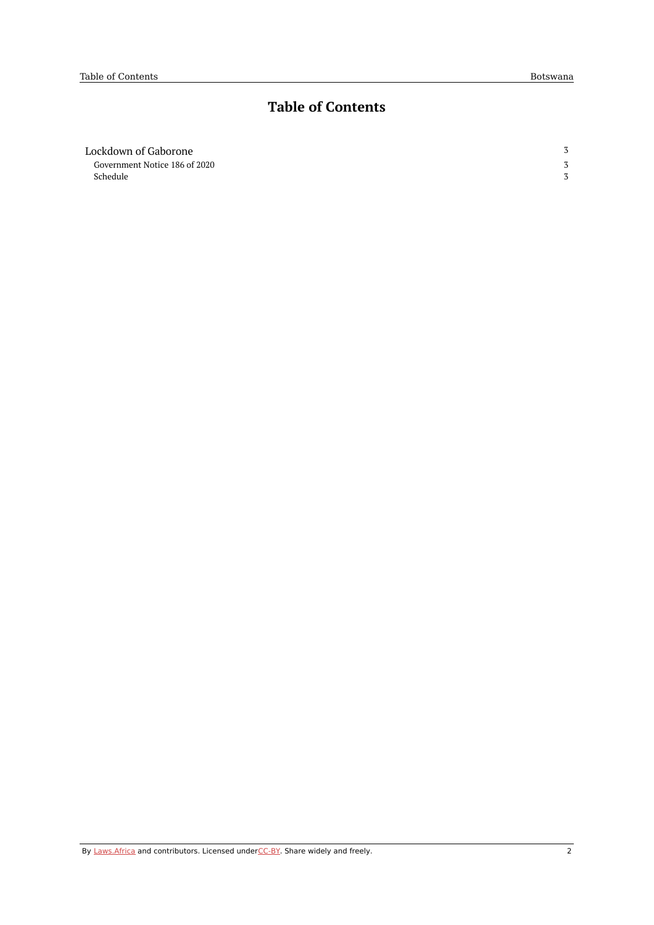# **Table of Contents**

| Lockdown of Gaborone          | 3 |
|-------------------------------|---|
| Government Notice 186 of 2020 |   |
| Schedule                      |   |